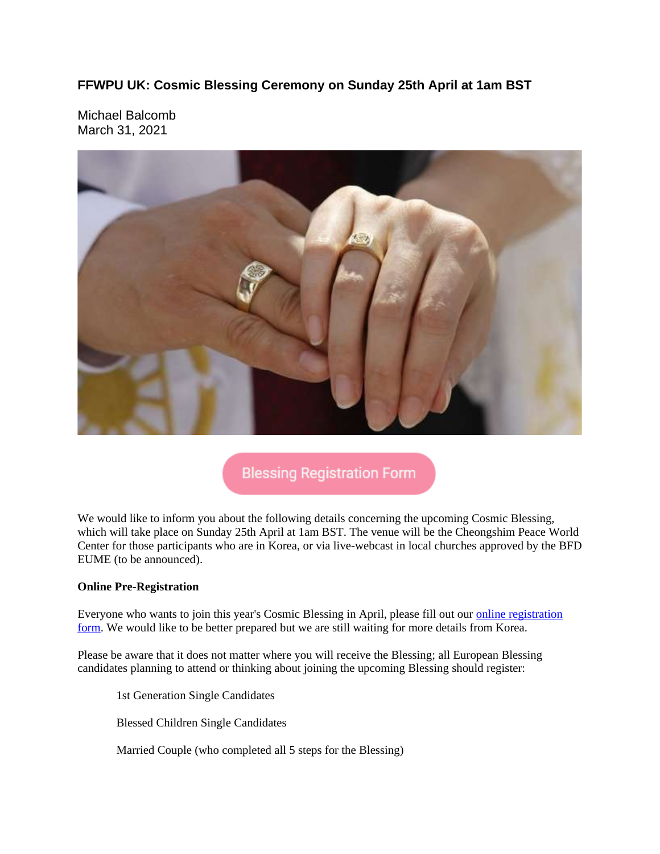## **FFWPU UK: Cosmic Blessing Ceremony on Sunday 25th April at 1am BST**

Michael Balcomb March 31, 2021



## **Blessing Registration Form**

We would like to inform you about the following details concerning the upcoming Cosmic Blessing, which will take place on Sunday 25th April at 1am BST. The venue will be the Cheongshim Peace World Center for those participants who are in Korea, or via live-webcast in local churches approved by the BFD EUME (to be announced).

#### **Online Pre-Registration**

Everyone who wants to join this year's Cosmic Blessing in April, please fill out our online registration form. We would like to be better prepared but we are still waiting for more details from Korea.

Please be aware that it does not matter where you will receive the Blessing; all European Blessing candidates planning to attend or thinking about joining the upcoming Blessing should register:

1st Generation Single Candidates

Blessed Children Single Candidates

Married Couple (who completed all 5 steps for the Blessing)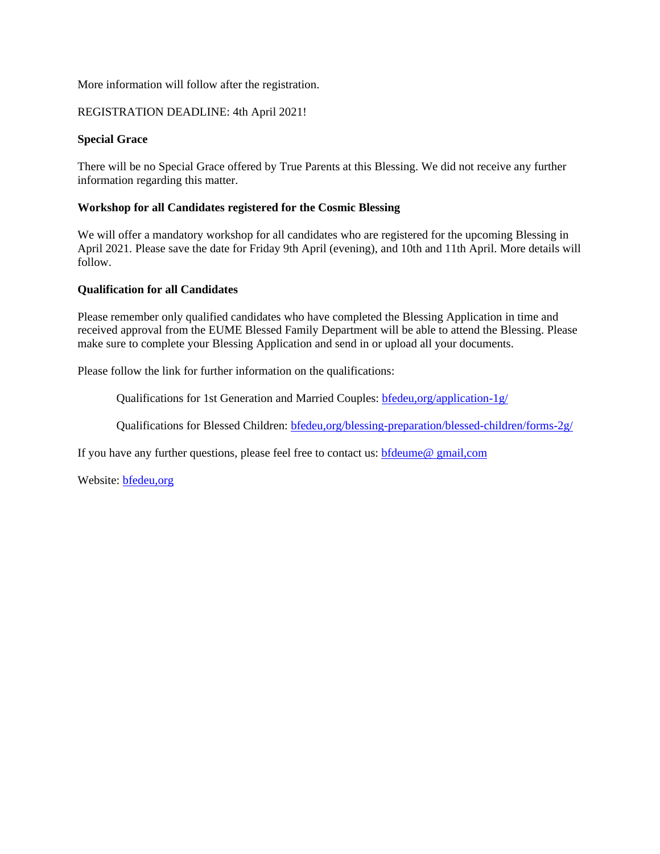#### More information will follow after the registration.

#### REGISTRATION DEADLINE: 4th April 2021!

#### **Special Grace**

There will be no Special Grace offered by True Parents at this Blessing. We did not receive any further information regarding this matter.

#### **Workshop for all Candidates registered for the Cosmic Blessing**

We will offer a mandatory workshop for all candidates who are registered for the upcoming Blessing in April 2021. Please save the date for Friday 9th April (evening), and 10th and 11th April. More details will follow.

#### **Qualification for all Candidates**

Please remember only qualified candidates who have completed the Blessing Application in time and received approval from the EUME Blessed Family Department will be able to attend the Blessing. Please make sure to complete your Blessing Application and send in or upload all your documents.

Please follow the link for further information on the qualifications:

Qualifications for 1st Generation and Married Couples: bfedeu,org/application-1g/

Qualifications for Blessed Children: bfedeu,org/blessing-preparation/blessed-children/forms-2g/

If you have any further questions, please feel free to contact us: **bfdeume@** gmail,com

Website: bfedeu,org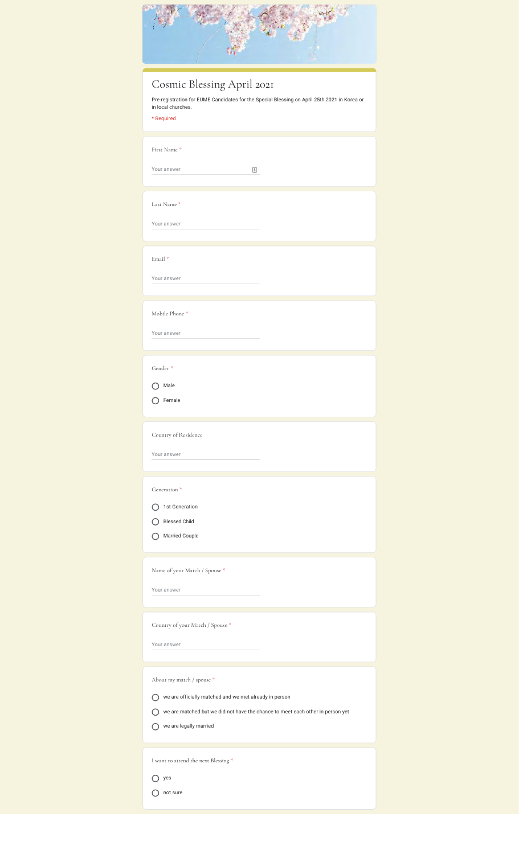| Cosmic Blessing April 2021<br>Pre-registration for EUME Candidates for the Special Blessing on April 25th 2021 in Korea or<br>in local churches.<br>* Required                                                          |
|-------------------------------------------------------------------------------------------------------------------------------------------------------------------------------------------------------------------------|
| First Name*<br>Your answer<br>$\equiv$                                                                                                                                                                                  |
| Last Name*<br>Your answer                                                                                                                                                                                               |
| Email <sup>*</sup><br>Your answer                                                                                                                                                                                       |
| Mobile Phone*<br>Your answer                                                                                                                                                                                            |
| Gender*<br>Male<br>Female                                                                                                                                                                                               |
| Country of Residence<br>Your answer                                                                                                                                                                                     |
| Generation <sup>*</sup><br>1st Generation<br>$\left(\begin{array}{c} 1 \end{array}\right)$<br><b>Blessed Child</b><br>◯ Married Couple<br>Name of your Match / Spouse *                                                 |
| Your answer                                                                                                                                                                                                             |
| Country of your Match / Spouse *<br>Your answer                                                                                                                                                                         |
| About my match / spouse *<br>$\bigcirc$ we are officially matched and we met already in person<br>◯ we are matched but we did not have the chance to meet each other in person yet<br>$\bigcirc$ we are legally married |
| I want to attend the next Blessing $^\mathrm{*}$<br>$\bigcirc$ yes<br>$\bigcap$ not sure                                                                                                                                |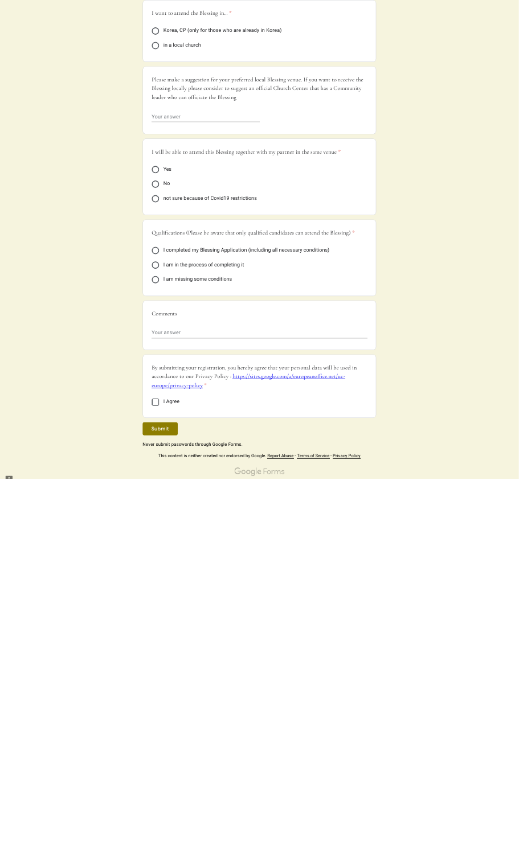| I want to attend the Blessing in *                                                                                                                                                                                                  |
|-------------------------------------------------------------------------------------------------------------------------------------------------------------------------------------------------------------------------------------|
| Korea, CP (only for those who are already in Korea)                                                                                                                                                                                 |
| in a local church                                                                                                                                                                                                                   |
|                                                                                                                                                                                                                                     |
| Please make a suggestion for your preferred local Blessing venue. If you want to receive the<br>Blessing locally please consider to suggest an official Church Center that has a Community<br>leader who can officiate the Blessing |
| Your answer                                                                                                                                                                                                                         |
| I will be able to attend this Blessing together with my partner in the same venue *                                                                                                                                                 |
| Yes                                                                                                                                                                                                                                 |
| No                                                                                                                                                                                                                                  |
| not sure because of Covid19 restrictions                                                                                                                                                                                            |
|                                                                                                                                                                                                                                     |
| Qualifications (Please be aware that only qualified candidates can attend the Blessing) *                                                                                                                                           |
| I completed my Blessing Application (including all necessary conditions)                                                                                                                                                            |
| I am in the process of completing it                                                                                                                                                                                                |
| I am missing some conditions                                                                                                                                                                                                        |
|                                                                                                                                                                                                                                     |
| Comments                                                                                                                                                                                                                            |
| Your answer                                                                                                                                                                                                                         |
|                                                                                                                                                                                                                                     |
| By submitting your registration, you hereby agree that your personal data will be used in<br>accordance to our Privacy Policy : https://sites.google.com/a/europeanoffice.net/uc-<br>europe/privacy-policy *                        |
| I Agree                                                                                                                                                                                                                             |
| Submit                                                                                                                                                                                                                              |
| Never submit passwords through Google Forms.                                                                                                                                                                                        |

This content is neither created nor endorsed by Google. Report Abuse - Terms of Service - Privacy Policy

Google Forms

**COL**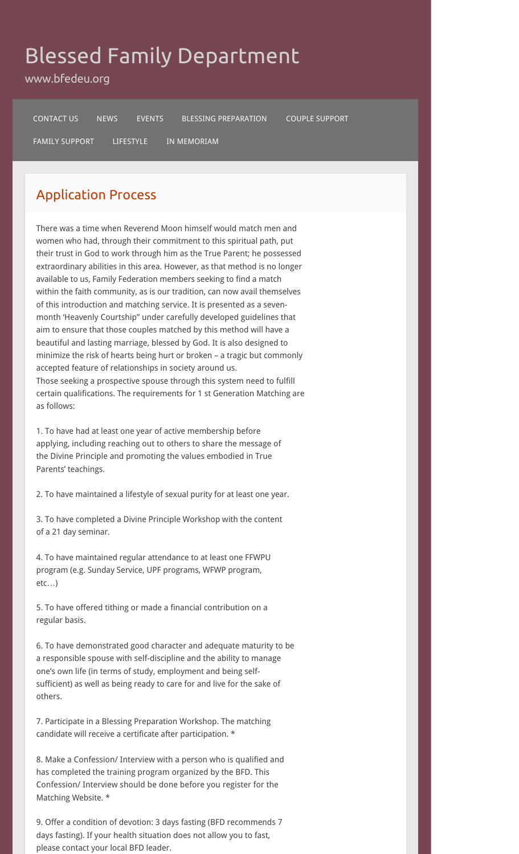# Blessed Family Department

www.bfedeu.org

CONTACT US NEWS EVENTS BLESSING PREPARATION COUPLE SUPPORT

FAMILY SUPPORT LIFESTYLE IN MEMORIAM

## Application Process

There was a time when Reverend Moon himself would match men and women who had, through their commitment to this spiritual path, put their trust in God to work through him as the True Parent; he possessed extraordinary abilities in this area. However, as that method is no longer available to us, Family Federation members seeking to find a match within the faith community, as is our tradition, can now avail themselves of this introduction and matching service. It is presented as a sevenmonth 'Heavenly Courtship" under carefully developed guidelines that aim to ensure that those couples matched by this method will have a beautiful and lasting marriage, blessed by God. It is also designed to minimize the risk of hearts being hurt or broken – a tragic but commonly accepted feature of relationships in society around us. Those seeking a prospective spouse through this system need to fulfill certain qualifications. The requirements for 1 st Generation Matching are as follows:

1. To have had at least one year of active membership before applying, including reaching out to others to share the message of the Divine Principle and promoting the values embodied in True Parents' teachings.

2. To have maintained a lifestyle of sexual purity for at least one year.

3. To have completed a Divine Principle Workshop with the content of a 21 day seminar.

4. To have maintained regular attendance to at least one FFWPU program (e.g. Sunday Service, UPF programs, WFWP program, etc…)

5. To have offered tithing or made a financial contribution on a regular basis.

6. To have demonstrated good character and adequate maturity to be a responsible spouse with self-discipline and the ability to manage one's own life (in terms of study, employment and being selfsufficient) as well as being ready to care for and live for the sake of others.

7. Participate in a Blessing Preparation Workshop. The matching candidate will receive a certificate after participation. \*

8. Make a Confession/ Interview with a person who is qualified and has completed the training program organized by the BFD. This Confession/ Interview should be done before you register for the Matching Website. \*

9. Offer a condition of devotion: 3 days fasting (BFD recommends 7 days fasting). If your health situation does not allow you to fast, please contact your local BFD leader.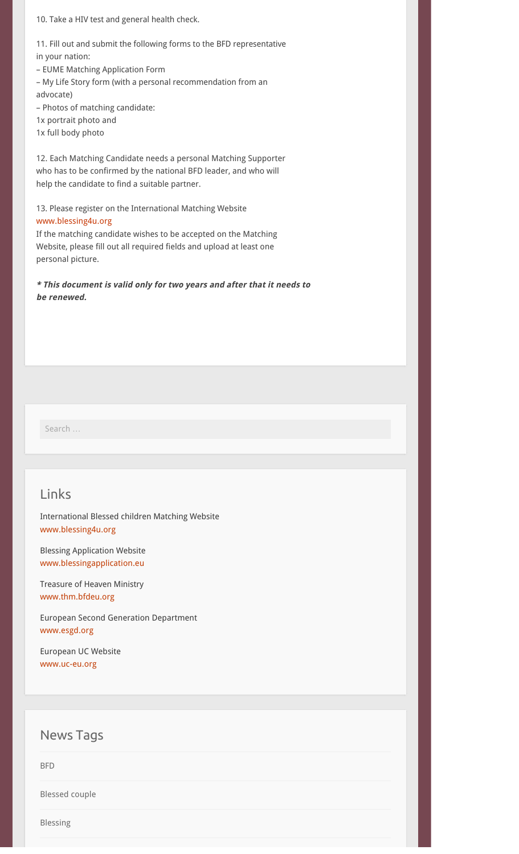10. Take a HIV test and general health check.

11. Fill out and submit the following forms to the BFD representative in your nation:

– EUME Matching Application Form

– My Life Story form (with a personal recommendation from an advocate)

– Photos of matching candidate:

1x portrait photo and

1x full body photo

12. Each Matching Candidate needs a personal Matching Supporter who has to be confirmed by the national BFD leader, and who will help the candidate to find a suitable partner.

### 13. Please register on the International Matching Website www.blessing4u.org

If the matching candidate wishes to be accepted on the Matching Website, please fill out all required fields and upload at least one personal picture.

**\* This document is valid only for two years and after that it needs to be renewed.**

Search …

## Links

International Blessed children Matching Website www.blessing4u.org

Blessing Application Website www.blessingapplication.eu

Treasure of Heaven Ministry www.thm.bfdeu.org

European Second Generation Department www.esgd.org

European UC Website www.uc-eu.org

## News Tags

BFD

Blessed couple

Blessing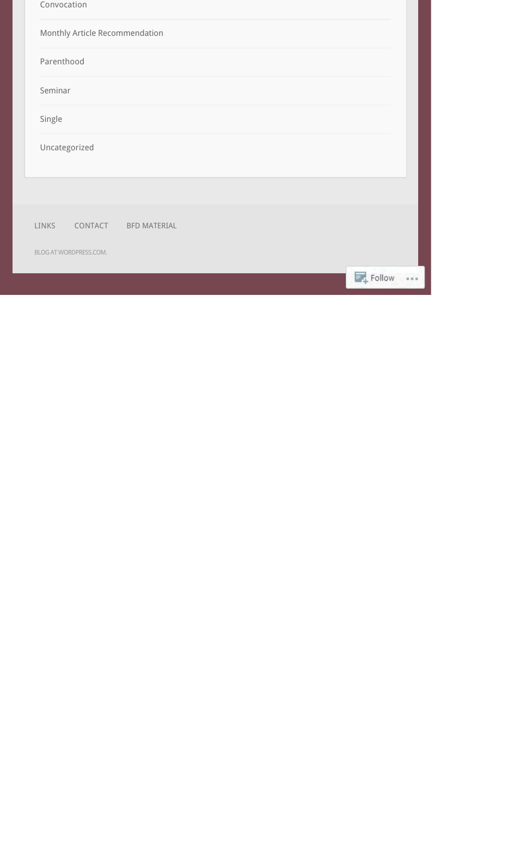| Convocation |                                |                     |  |           |      |
|-------------|--------------------------------|---------------------|--|-----------|------|
|             | Monthly Article Recommendation |                     |  |           |      |
| Parenthood  |                                |                     |  |           |      |
| Seminar     |                                |                     |  |           |      |
| Single      |                                |                     |  |           |      |
|             | Uncategorized                  |                     |  |           |      |
|             |                                |                     |  |           |      |
|             |                                |                     |  |           |      |
| LINKS       | CONTACT                        | <b>BFD MATERIAL</b> |  |           |      |
|             | BLOG AT WORDPRESS.COM.         |                     |  |           |      |
|             |                                |                     |  | F. Follow | 80.8 |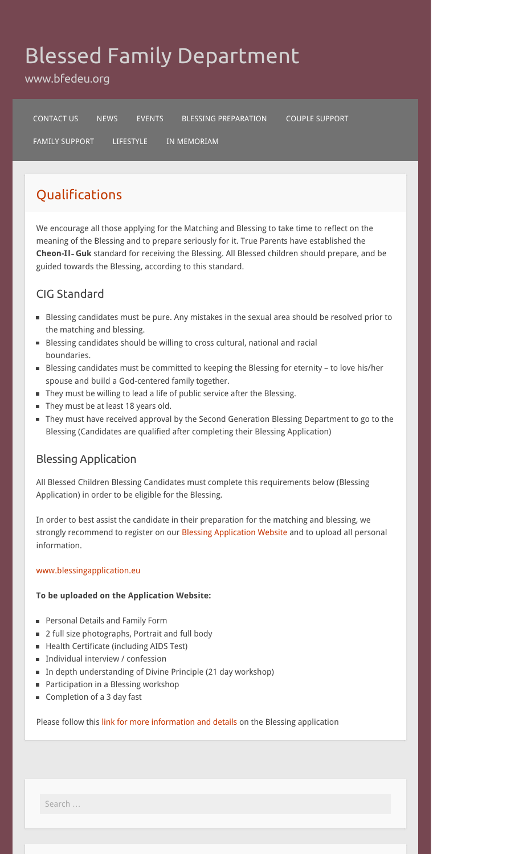# Blessed Family Department

www.bfedeu.org

CONTACT US NEWS EVENTS BLESSING PREPARATION COUPLE SUPPORT

FAMILY SUPPORT LIFESTYLE IN MEMORIAM

# Qualifications

We encourage all those applying for the Matching and Blessing to take time to reflect on the meaning of the Blessing and to prepare seriously for it. True Parents have established the **Cheon-Il**‐**Guk** standard for receiving the Blessing. All Blessed children should prepare, and be guided towards the Blessing, according to this standard.

## CIG Standard

- Blessing candidates must be pure. Any mistakes in the sexual area should be resolved prior to the matching and blessing.
- Blessing candidates should be willing to cross cultural, national and racial boundaries.
- Blessing candidates must be committed to keeping the Blessing for eternity to love his/her spouse and build a God-centered family together.
- They must be willing to lead a life of public service after the Blessing.
- They must be at least 18 years old.
- They must have received approval by the Second Generation Blessing Department to go to the Blessing (Candidates are qualified after completing their Blessing Application)

## Blessing Application

All Blessed Children Blessing Candidates must complete this requirements below (Blessing Application) in order to be eligible for the Blessing.

In order to best assist the candidate in their preparation for the matching and blessing, we strongly recommend to register on our Blessing Application Website and to upload all personal information.

## www.blessingapplication.eu

## **To be uploaded on the Application Website:**

- **Personal Details and Family Form**
- 2 full size photographs, Portrait and full body
- Health Certificate (including AIDS Test)
- **Individual interview / confession**
- In depth understanding of Divine Principle (21 day workshop)
- **Participation in a Blessing workshop**
- Completion of a 3 day fast

Please follow this link for more information and details on the Blessing application